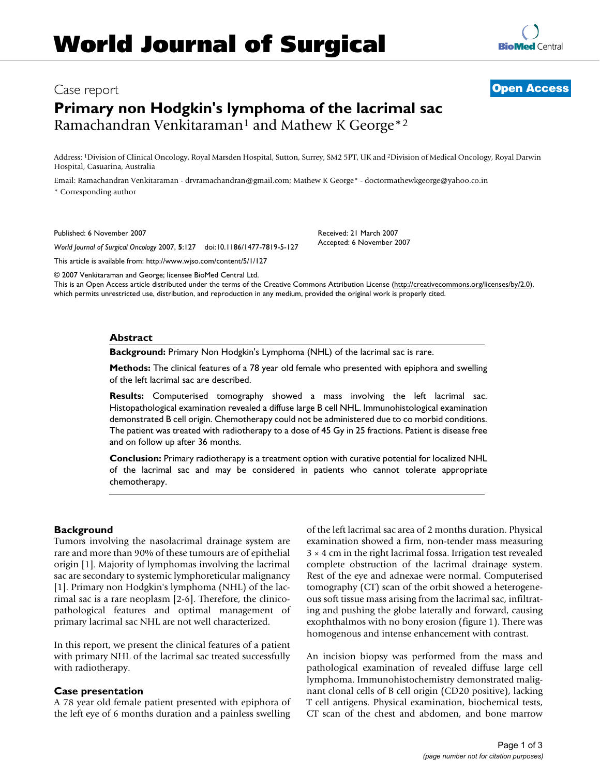# Case report **[Open Access](http://www.biomedcentral.com/info/about/charter/)**

# **Primary non Hodgkin's lymphoma of the lacrimal sac** Ramachandran Venkitaraman<sup>1</sup> and Mathew K George<sup>\*2</sup>

Address: 1Division of Clinical Oncology, Royal Marsden Hospital, Sutton, Surrey, SM2 5PT, UK and 2Division of Medical Oncology, Royal Darwin Hospital, Casuarina, Australia

> Received: 21 March 2007 Accepted: 6 November 2007

Email: Ramachandran Venkitaraman - drvramachandran@gmail.com; Mathew K George\* - doctormathewkgeorge@yahoo.co.in \* Corresponding author

Published: 6 November 2007

*World Journal of Surgical Oncology* 2007, **5**:127 doi:10.1186/1477-7819-5-127

[This article is available from: http://www.wjso.com/content/5/1/127](http://www.wjso.com/content/5/1/127)

© 2007 Venkitaraman and George; licensee BioMed Central Ltd.

This is an Open Access article distributed under the terms of the Creative Commons Attribution License [\(http://creativecommons.org/licenses/by/2.0\)](http://creativecommons.org/licenses/by/2.0), which permits unrestricted use, distribution, and reproduction in any medium, provided the original work is properly cited.

#### **Abstract**

**Background:** Primary Non Hodgkin's Lymphoma (NHL) of the lacrimal sac is rare.

**Methods:** The clinical features of a 78 year old female who presented with epiphora and swelling of the left lacrimal sac are described.

**Results:** Computerised tomography showed a mass involving the left lacrimal sac. Histopathological examination revealed a diffuse large B cell NHL. Immunohistological examination demonstrated B cell origin. Chemotherapy could not be administered due to co morbid conditions. The patient was treated with radiotherapy to a dose of 45 Gy in 25 fractions. Patient is disease free and on follow up after 36 months.

**Conclusion:** Primary radiotherapy is a treatment option with curative potential for localized NHL of the lacrimal sac and may be considered in patients who cannot tolerate appropriate chemotherapy.

# **Background**

Tumors involving the nasolacrimal drainage system are rare and more than 90% of these tumours are of epithelial origin [1]. Majority of lymphomas involving the lacrimal sac are secondary to systemic lymphoreticular malignancy [1]. Primary non Hodgkin's lymphoma (NHL) of the lacrimal sac is a rare neoplasm [2-6]. Therefore, the clinicopathological features and optimal management of primary lacrimal sac NHL are not well characterized.

In this report, we present the clinical features of a patient with primary NHL of the lacrimal sac treated successfully with radiotherapy.

#### **Case presentation**

A 78 year old female patient presented with epiphora of the left eye of 6 months duration and a painless swelling of the left lacrimal sac area of 2 months duration. Physical examination showed a firm, non-tender mass measuring 3 × 4 cm in the right lacrimal fossa. Irrigation test revealed complete obstruction of the lacrimal drainage system. Rest of the eye and adnexae were normal. Computerised tomography (CT) scan of the orbit showed a heterogeneous soft tissue mass arising from the lacrimal sac, infiltrating and pushing the globe laterally and forward, causing exophthalmos with no bony erosion (figure 1). There was homogenous and intense enhancement with contrast.

An incision biopsy was performed from the mass and pathological examination of revealed diffuse large cell lymphoma. Immunohistochemistry demonstrated malignant clonal cells of B cell origin (CD20 positive), lacking T cell antigens. Physical examination, biochemical tests, CT scan of the chest and abdomen, and bone marrow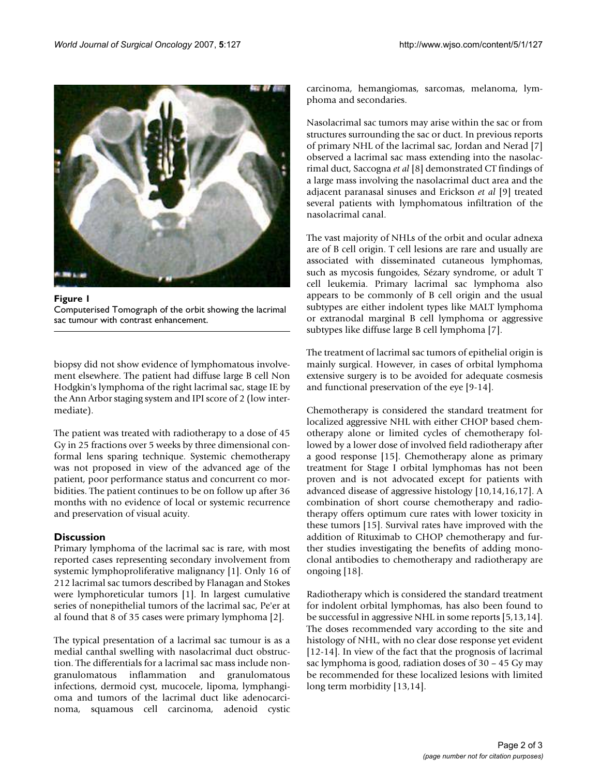

Figure 1 Computerised Tomograph of the orbit showing the lacrimal sac tumour with contrast enhancement.

biopsy did not show evidence of lymphomatous involvement elsewhere. The patient had diffuse large B cell Non Hodgkin's lymphoma of the right lacrimal sac, stage IE by the Ann Arbor staging system and IPI score of 2 (low intermediate).

The patient was treated with radiotherapy to a dose of 45 Gy in 25 fractions over 5 weeks by three dimensional conformal lens sparing technique. Systemic chemotherapy was not proposed in view of the advanced age of the patient, poor performance status and concurrent co morbidities. The patient continues to be on follow up after 36 months with no evidence of local or systemic recurrence and preservation of visual acuity.

# **Discussion**

Primary lymphoma of the lacrimal sac is rare, with most reported cases representing secondary involvement from systemic lymphoproliferative malignancy [1]. Only 16 of 212 lacrimal sac tumors described by Flanagan and Stokes were lymphoreticular tumors [1]. In largest cumulative series of nonepithelial tumors of the lacrimal sac, Pe'er at al found that 8 of 35 cases were primary lymphoma [2].

The typical presentation of a lacrimal sac tumour is as a medial canthal swelling with nasolacrimal duct obstruction. The differentials for a lacrimal sac mass include nongranulomatous inflammation and granulomatous infections, dermoid cyst, mucocele, lipoma, lymphangioma and tumors of the lacrimal duct like adenocarcinoma, squamous cell carcinoma, adenoid cystic carcinoma, hemangiomas, sarcomas, melanoma, lymphoma and secondaries.

Nasolacrimal sac tumors may arise within the sac or from structures surrounding the sac or duct. In previous reports of primary NHL of the lacrimal sac, Jordan and Nerad [7] observed a lacrimal sac mass extending into the nasolacrimal duct, Saccogna *et al* [8] demonstrated CT findings of a large mass involving the nasolacrimal duct area and the adjacent paranasal sinuses and Erickson *et al* [9] treated several patients with lymphomatous infiltration of the nasolacrimal canal.

The vast majority of NHLs of the orbit and ocular adnexa are of B cell origin. T cell lesions are rare and usually are associated with disseminated cutaneous lymphomas, such as mycosis fungoides, Sézary syndrome, or adult T cell leukemia. Primary lacrimal sac lymphoma also appears to be commonly of B cell origin and the usual subtypes are either indolent types like MALT lymphoma or extranodal marginal B cell lymphoma or aggressive subtypes like diffuse large B cell lymphoma [7].

The treatment of lacrimal sac tumors of epithelial origin is mainly surgical. However, in cases of orbital lymphoma extensive surgery is to be avoided for adequate cosmesis and functional preservation of the eye [9-14].

Chemotherapy is considered the standard treatment for localized aggressive NHL with either CHOP based chemotherapy alone or limited cycles of chemotherapy followed by a lower dose of involved field radiotherapy after a good response [15]. Chemotherapy alone as primary treatment for Stage I orbital lymphomas has not been proven and is not advocated except for patients with advanced disease of aggressive histology [10,14,16,17]. A combination of short course chemotherapy and radiotherapy offers optimum cure rates with lower toxicity in these tumors [15]. Survival rates have improved with the addition of Rituximab to CHOP chemotherapy and further studies investigating the benefits of adding monoclonal antibodies to chemotherapy and radiotherapy are ongoing [18].

Radiotherapy which is considered the standard treatment for indolent orbital lymphomas, has also been found to be successful in aggressive NHL in some reports [5,13,14]. The doses recommended vary according to the site and histology of NHL, with no clear dose response yet evident [12-14]. In view of the fact that the prognosis of lacrimal sac lymphoma is good, radiation doses of 30 – 45 Gy may be recommended for these localized lesions with limited long term morbidity [13,14].